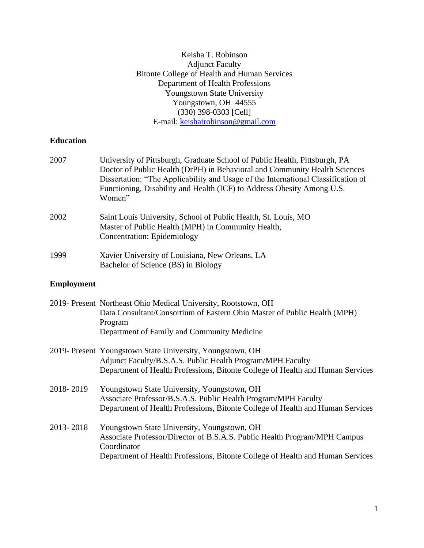# Keisha T. Robinson Adjunct Faculty Bitonte College of Health and Human Services Department of Health Professions Youngstown State University Youngstown, OH 44555 (330) 398-0303 [Cell] E-mail: [keishatrobinson@gmail.com](mailto:keishatrobinson@gmail.com)

# **Education**

| 2007              | University of Pittsburgh, Graduate School of Public Health, Pittsburgh, PA<br>Doctor of Public Health (DrPH) in Behavioral and Community Health Sciences<br>Dissertation: "The Applicability and Usage of the International Classification of<br>Functioning, Disability and Health (ICF) to Address Obesity Among U.S.<br>Women" |
|-------------------|-----------------------------------------------------------------------------------------------------------------------------------------------------------------------------------------------------------------------------------------------------------------------------------------------------------------------------------|
| 2002              | Saint Louis University, School of Public Health, St. Louis, MO<br>Master of Public Health (MPH) in Community Health,<br><b>Concentration: Epidemiology</b>                                                                                                                                                                        |
| 1999              | Xavier University of Louisiana, New Orleans, LA<br>Bachelor of Science (BS) in Biology                                                                                                                                                                                                                                            |
| <b>Employment</b> |                                                                                                                                                                                                                                                                                                                                   |
|                   | 2019- Present Northeast Ohio Medical University, Rootstown, OH<br>Data Consultant/Consortium of Eastern Ohio Master of Public Health (MPH)<br>Program<br>Department of Family and Community Medicine                                                                                                                              |
|                   | 2019- Present Youngstown State University, Youngstown, OH<br>Adjunct Faculty/B.S.A.S. Public Health Program/MPH Faculty<br>Department of Health Professions, Bitonte College of Health and Human Services                                                                                                                         |
| 2018-2019         | Youngstown State University, Youngstown, OH<br>Associate Professor/B.S.A.S. Public Health Program/MPH Faculty<br>Department of Health Professions, Bitonte College of Health and Human Services                                                                                                                                   |
| 2013-2018         | Youngstown State University, Youngstown, OH<br>Associate Professor/Director of B.S.A.S. Public Health Program/MPH Campus<br>Coordinator<br>Department of Health Professions, Bitonte College of Health and Human Services                                                                                                         |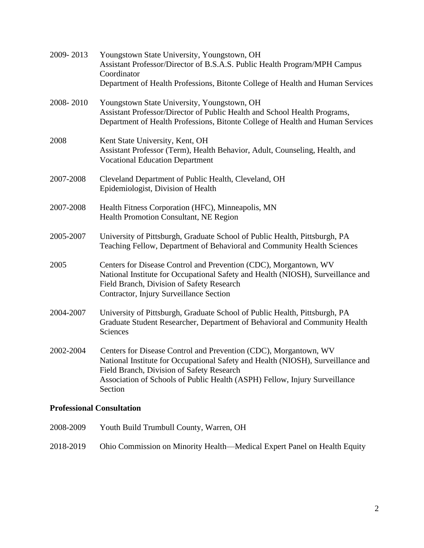| 2009-2013                        | Youngstown State University, Youngstown, OH<br>Assistant Professor/Director of B.S.A.S. Public Health Program/MPH Campus<br>Coordinator<br>Department of Health Professions, Bitonte College of Health and Human Services                                                                 |
|----------------------------------|-------------------------------------------------------------------------------------------------------------------------------------------------------------------------------------------------------------------------------------------------------------------------------------------|
| 2008-2010                        | Youngstown State University, Youngstown, OH<br>Assistant Professor/Director of Public Health and School Health Programs,<br>Department of Health Professions, Bitonte College of Health and Human Services                                                                                |
| 2008                             | Kent State University, Kent, OH<br>Assistant Professor (Term), Health Behavior, Adult, Counseling, Health, and<br><b>Vocational Education Department</b>                                                                                                                                  |
| 2007-2008                        | Cleveland Department of Public Health, Cleveland, OH<br>Epidemiologist, Division of Health                                                                                                                                                                                                |
| 2007-2008                        | Health Fitness Corporation (HFC), Minneapolis, MN<br>Health Promotion Consultant, NE Region                                                                                                                                                                                               |
| 2005-2007                        | University of Pittsburgh, Graduate School of Public Health, Pittsburgh, PA<br>Teaching Fellow, Department of Behavioral and Community Health Sciences                                                                                                                                     |
| 2005                             | Centers for Disease Control and Prevention (CDC), Morgantown, WV<br>National Institute for Occupational Safety and Health (NIOSH), Surveillance and<br>Field Branch, Division of Safety Research<br>Contractor, Injury Surveillance Section                                               |
| 2004-2007                        | University of Pittsburgh, Graduate School of Public Health, Pittsburgh, PA<br>Graduate Student Researcher, Department of Behavioral and Community Health<br>Sciences                                                                                                                      |
| 2002-2004                        | Centers for Disease Control and Prevention (CDC), Morgantown, WV<br>National Institute for Occupational Safety and Health (NIOSH), Surveillance and<br>Field Branch, Division of Safety Research<br>Association of Schools of Public Health (ASPH) Fellow, Injury Surveillance<br>Section |
| <b>Professional Consultation</b> |                                                                                                                                                                                                                                                                                           |

2008-2009 Youth Build Trumbull County, Warren, OH 2018-2019 Ohio Commission on Minority Health—Medical Expert Panel on Health Equity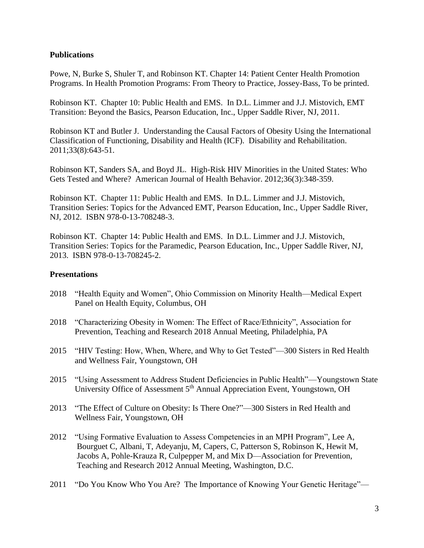## **Publications**

Powe, N, Burke S, Shuler T, and Robinson KT. Chapter 14: Patient Center Health Promotion Programs. In Health Promotion Programs: From Theory to Practice, Jossey-Bass, To be printed.

Robinson KT. Chapter 10: Public Health and EMS. In D.L. Limmer and J.J. Mistovich, EMT Transition: Beyond the Basics, Pearson Education, Inc., Upper Saddle River, NJ, 2011.

Robinson KT and Butler J. Understanding the Causal Factors of Obesity Using the International Classification of Functioning, Disability and Health (ICF). Disability and Rehabilitation. 2011;33(8):643-51.

Robinson KT, Sanders SA, and Boyd JL. High-Risk HIV Minorities in the United States: Who Gets Tested and Where? American Journal of Health Behavior. 2012;36(3):348-359.

Robinson KT. Chapter 11: Public Health and EMS. In D.L. Limmer and J.J. Mistovich, Transition Series: Topics for the Advanced EMT, Pearson Education, Inc., Upper Saddle River, NJ, 2012. ISBN 978-0-13-708248-3.

Robinson KT. Chapter 14: Public Health and EMS. In D.L. Limmer and J.J. Mistovich, Transition Series: Topics for the Paramedic, Pearson Education, Inc., Upper Saddle River, NJ, 2013. ISBN 978-0-13-708245-2.

### **Presentations**

- 2018 "Health Equity and Women", Ohio Commission on Minority Health—Medical Expert Panel on Health Equity, Columbus, OH
- 2018 "Characterizing Obesity in Women: The Effect of Race/Ethnicity", Association for Prevention, Teaching and Research 2018 Annual Meeting, Philadelphia, PA
- 2015 "HIV Testing: How, When, Where, and Why to Get Tested"—300 Sisters in Red Health and Wellness Fair, Youngstown, OH
- 2015 "Using Assessment to Address Student Deficiencies in Public Health"—Youngstown State University Office of Assessment 5<sup>th</sup> Annual Appreciation Event, Youngstown, OH
- 2013 "The Effect of Culture on Obesity: Is There One?"—300 Sisters in Red Health and Wellness Fair, Youngstown, OH
- 2012 "Using Formative Evaluation to Assess Competencies in an MPH Program", Lee A, Bourguet C, Albani, T, Adeyanju, M, Capers, C, Patterson S, Robinson K, Hewit M, Jacobs A, Pohle-Krauza R, Culpepper M, and Mix D—Association for Prevention, Teaching and Research 2012 Annual Meeting, Washington, D.C.
- 2011 "Do You Know Who You Are? The Importance of Knowing Your Genetic Heritage"—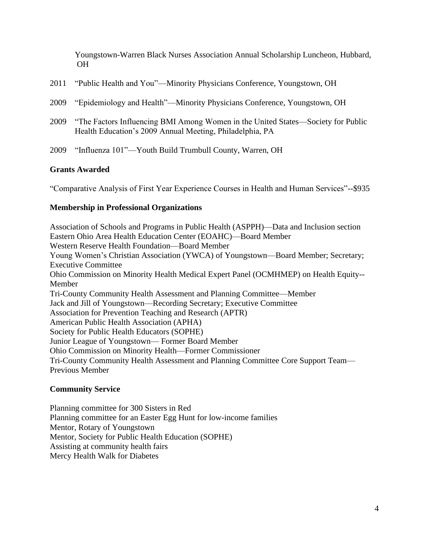Youngstown-Warren Black Nurses Association Annual Scholarship Luncheon, Hubbard, OH

|  |  |  | 2011 "Public Health and You"—Minority Physicians Conference, Youngstown, OH |
|--|--|--|-----------------------------------------------------------------------------|
|--|--|--|-----------------------------------------------------------------------------|

- 2009 "Epidemiology and Health"—Minority Physicians Conference, Youngstown, OH
- 2009 "The Factors Influencing BMI Among Women in the United States—Society for Public Health Education's 2009 Annual Meeting, Philadelphia, PA
- 2009 "Influenza 101"—Youth Build Trumbull County, Warren, OH

## **Grants Awarded**

"Comparative Analysis of First Year Experience Courses in Health and Human Services"--\$935

#### **Membership in Professional Organizations**

Association of Schools and Programs in Public Health (ASPPH)—Data and Inclusion section Eastern Ohio Area Health Education Center (EOAHC)—Board Member Western Reserve Health Foundation—Board Member Young Women's Christian Association (YWCA) of Youngstown—Board Member; Secretary; Executive Committee Ohio Commission on Minority Health Medical Expert Panel (OCMHMEP) on Health Equity-- Member Tri-County Community Health Assessment and Planning Committee—Member Jack and Jill of Youngstown—Recording Secretary; Executive Committee Association for Prevention Teaching and Research (APTR) American Public Health Association (APHA) Society for Public Health Educators (SOPHE) Junior League of Youngstown— Former Board Member Ohio Commission on Minority Health—Former Commissioner Tri-County Community Health Assessment and Planning Committee Core Support Team— Previous Member

#### **Community Service**

Planning committee for 300 Sisters in Red Planning committee for an Easter Egg Hunt for low-income families Mentor, Rotary of Youngstown Mentor, Society for Public Health Education (SOPHE) Assisting at community health fairs Mercy Health Walk for Diabetes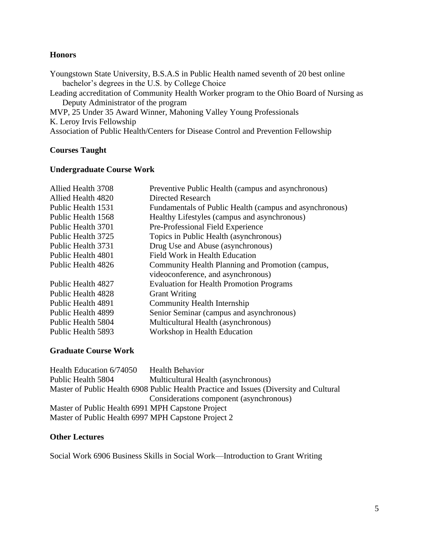## **Honors**

Youngstown State University, B.S.A.S in Public Health named seventh of 20 best online bachelor's degrees in the U.S. by College Choice Leading accreditation of Community Health Worker program to the Ohio Board of Nursing as Deputy Administrator of the program MVP, 25 Under 35 Award Winner, Mahoning Valley Young Professionals K. Leroy Irvis Fellowship Association of Public Health/Centers for Disease Control and Prevention Fellowship

## **Courses Taught**

## **Undergraduate Course Work**

| Allied Health 3708 | Preventive Public Health (campus and asynchronous)      |
|--------------------|---------------------------------------------------------|
| Allied Health 4820 | Directed Research                                       |
| Public Health 1531 | Fundamentals of Public Health (campus and asynchronous) |
| Public Health 1568 | Healthy Lifestyles (campus and asynchronous)            |
| Public Health 3701 | Pre-Professional Field Experience                       |
| Public Health 3725 | Topics in Public Health (asynchronous)                  |
| Public Health 3731 | Drug Use and Abuse (asynchronous)                       |
| Public Health 4801 | Field Work in Health Education                          |
| Public Health 4826 | Community Health Planning and Promotion (campus,        |
|                    | videoconference, and asynchronous)                      |
| Public Health 4827 | <b>Evaluation for Health Promotion Programs</b>         |
| Public Health 4828 | <b>Grant Writing</b>                                    |
| Public Health 4891 | Community Health Internship                             |
| Public Health 4899 | Senior Seminar (campus and asynchronous)                |
| Public Health 5804 | Multicultural Health (asynchronous)                     |
| Public Health 5893 | Workshop in Health Education                            |
|                    |                                                         |

## **Graduate Course Work**

| Health Education 6/74050                            | <b>Health Behavior</b>                                                                 |
|-----------------------------------------------------|----------------------------------------------------------------------------------------|
| Public Health 5804                                  | Multicultural Health (asynchronous)                                                    |
|                                                     | Master of Public Health 6908 Public Health Practice and Issues (Diversity and Cultural |
|                                                     | Considerations component (asynchronous)                                                |
| Master of Public Health 6991 MPH Capstone Project   |                                                                                        |
| Master of Public Health 6997 MPH Capstone Project 2 |                                                                                        |

### **Other Lectures**

Social Work 6906 Business Skills in Social Work—Introduction to Grant Writing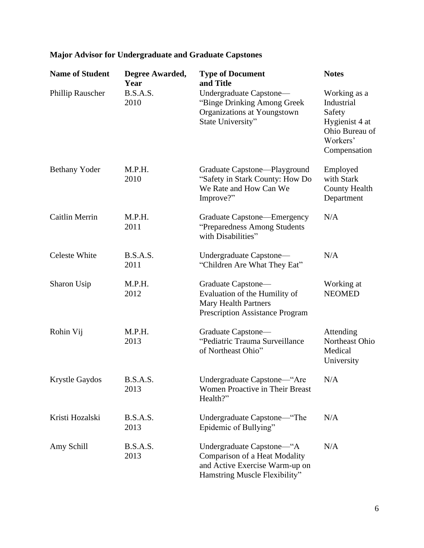| <b>Name of Student</b> | Degree Awarded,<br>Year | <b>Type of Document</b><br>and Title                                                                                                 | <b>Notes</b>                                                                                         |
|------------------------|-------------------------|--------------------------------------------------------------------------------------------------------------------------------------|------------------------------------------------------------------------------------------------------|
| Phillip Rauscher       | B.S.A.S.<br>2010        | Undergraduate Capstone—<br>"Binge Drinking Among Greek<br>Organizations at Youngstown<br>State University"                           | Working as a<br>Industrial<br>Safety<br>Hygienist 4 at<br>Ohio Bureau of<br>Workers'<br>Compensation |
| <b>Bethany Yoder</b>   | M.P.H.<br>2010          | Graduate Capstone—Playground<br>"Safety in Stark County: How Do<br>We Rate and How Can We<br>Improve?"                               | Employed<br>with Stark<br><b>County Health</b><br>Department                                         |
| <b>Caitlin Merrin</b>  | M.P.H.<br>2011          | Graduate Capstone—Emergency<br>"Preparedness Among Students<br>with Disabilities"                                                    | N/A                                                                                                  |
| <b>Celeste White</b>   | B.S.A.S.<br>2011        | Undergraduate Capstone—<br>"Children Are What They Eat"                                                                              | N/A                                                                                                  |
| Sharon Usip            | M.P.H.<br>2012          | Graduate Capstone-<br>Evaluation of the Humility of<br><b>Mary Health Partners</b><br><b>Prescription Assistance Program</b>         | Working at<br><b>NEOMED</b>                                                                          |
| Rohin Vij              | M.P.H.<br>2013          | Graduate Capstone—<br>"Pediatric Trauma Surveillance<br>of Northeast Ohio"                                                           | Attending<br>Northeast Ohio<br>Medical<br>University                                                 |
| Krystle Gaydos         | B.S.A.S.<br>2013        | Undergraduate Capstone-"Are<br>Women Proactive in Their Breast<br>Health?"                                                           | N/A                                                                                                  |
| Kristi Hozalski        | B.S.A.S.<br>2013        | Undergraduate Capstone—"The<br>Epidemic of Bullying"                                                                                 | N/A                                                                                                  |
| Amy Schill             | B.S.A.S.<br>2013        | Undergraduate Capstone—"A<br><b>Comparison of a Heat Modality</b><br>and Active Exercise Warm-up on<br>Hamstring Muscle Flexibility" | N/A                                                                                                  |

# **Major Advisor for Undergraduate and Graduate Capstones**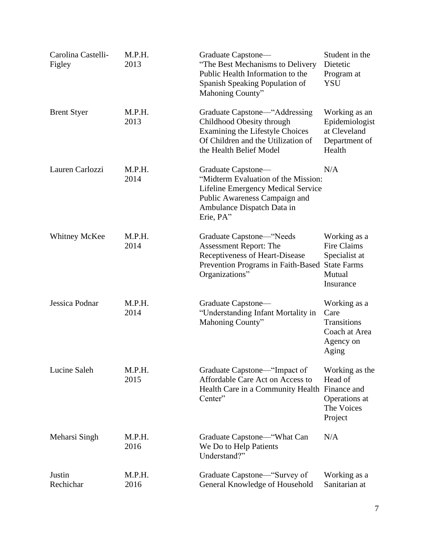| Carolina Castelli-<br>Figley | M.P.H.<br>2013 | Graduate Capstone—<br>"The Best Mechanisms to Delivery"<br>Public Health Information to the<br>Spanish Speaking Population of<br>Mahoning County"                           | Student in the<br>Dietetic<br>Program at<br><b>YSU</b>                     |
|------------------------------|----------------|-----------------------------------------------------------------------------------------------------------------------------------------------------------------------------|----------------------------------------------------------------------------|
| <b>Brent Styer</b>           | M.P.H.<br>2013 | Graduate Capstone—"Addressing<br>Childhood Obesity through<br>Examining the Lifestyle Choices<br>Of Children and the Utilization of<br>the Health Belief Model              | Working as an<br>Epidemiologist<br>at Cleveland<br>Department of<br>Health |
| Lauren Carlozzi              | M.P.H.<br>2014 | Graduate Capstone—<br>"Midterm Evaluation of the Mission:<br>Lifeline Emergency Medical Service<br>Public Awareness Campaign and<br>Ambulance Dispatch Data in<br>Erie, PA" | N/A                                                                        |
| <b>Whitney McKee</b>         | M.P.H.<br>2014 | Graduate Capstone—"Needs<br><b>Assessment Report: The</b><br>Receptiveness of Heart-Disease<br>Prevention Programs in Faith-Based State Farms<br>Organizations"             | Working as a<br>Fire Claims<br>Specialist at<br>Mutual<br>Insurance        |
| Jessica Podnar               | M.P.H.<br>2014 | Graduate Capstone—<br>"Understanding Infant Mortality in<br>Mahoning County"                                                                                                | Working as a<br>Care<br>Transitions<br>Coach at Area<br>Agency on<br>Aging |
| Lucine Saleh                 | M.P.H.<br>2015 | Graduate Capstone—"Impact of<br>Affordable Care Act on Access to<br>Health Care in a Community Health Finance and<br>Center"                                                | Working as the<br>Head of<br>Operations at<br>The Voices<br>Project        |
| Meharsi Singh                | M.P.H.<br>2016 | Graduate Capstone—"What Can<br>We Do to Help Patients<br>Understand?"                                                                                                       | N/A                                                                        |
| Justin<br>Rechichar          | M.P.H.<br>2016 | Graduate Capstone—"Survey of<br>General Knowledge of Household                                                                                                              | Working as a<br>Sanitarian at                                              |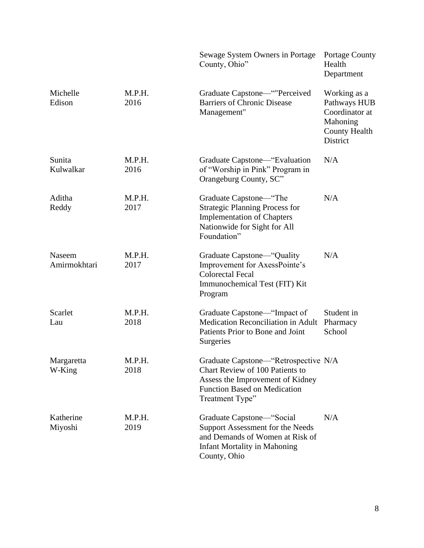|                        |                | Sewage System Owners in Portage<br>County, Ohio"                                                                                                               | <b>Portage County</b><br>Health<br>Department                                                  |
|------------------------|----------------|----------------------------------------------------------------------------------------------------------------------------------------------------------------|------------------------------------------------------------------------------------------------|
| Michelle<br>Edison     | M.P.H.<br>2016 | Graduate Capstone—""Perceived<br><b>Barriers of Chronic Disease</b><br>Management"                                                                             | Working as a<br>Pathways HUB<br>Coordinator at<br>Mahoning<br><b>County Health</b><br>District |
| Sunita<br>Kulwalkar    | M.P.H.<br>2016 | Graduate Capstone—"Evaluation<br>of "Worship in Pink" Program in<br>Orangeburg County, SC"                                                                     | N/A                                                                                            |
| Aditha<br>Reddy        | M.P.H.<br>2017 | Graduate Capstone—"The<br><b>Strategic Planning Process for</b><br><b>Implementation of Chapters</b><br>Nationwide for Sight for All<br>Foundation"            | N/A                                                                                            |
| Naseem<br>Amirmokhtari | M.P.H.<br>2017 | Graduate Capstone—"Quality<br>Improvement for AxessPointe's<br><b>Colorectal Fecal</b><br>Immunochemical Test (FIT) Kit<br>Program                             | N/A                                                                                            |
| Scarlet<br>Lau         | M.P.H.<br>2018 | Graduate Capstone—"Impact of<br>Medication Reconciliation in Adult<br>Patients Prior to Bone and Joint<br>Surgeries                                            | Student in<br>Pharmacy<br>School                                                               |
| Margaretta<br>W-King   | M.P.H.<br>2018 | Graduate Capstone—"Retrospective N/A<br>Chart Review of 100 Patients to<br>Assess the Improvement of Kidney<br>Function Based on Medication<br>Treatment Type" |                                                                                                |
| Katherine<br>Miyoshi   | M.P.H.<br>2019 | Graduate Capstone—"Social<br>Support Assessment for the Needs<br>and Demands of Women at Risk of<br><b>Infant Mortality in Mahoning</b><br>County, Ohio        | N/A                                                                                            |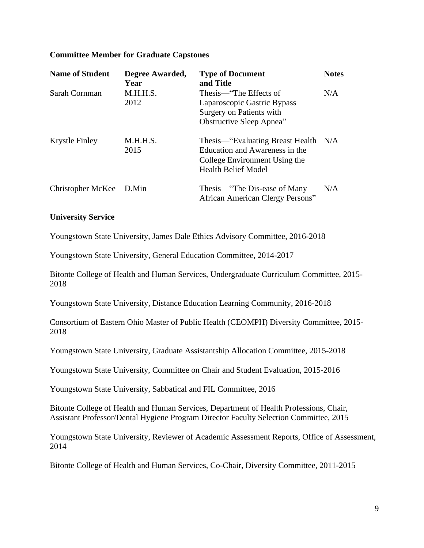### **Committee Member for Graduate Capstones**

| <b>Name of Student</b>  | Degree Awarded,<br>Year | <b>Type of Document</b><br>and Title                                                                                                  | <b>Notes</b> |
|-------------------------|-------------------------|---------------------------------------------------------------------------------------------------------------------------------------|--------------|
| Sarah Cornman           | M.H.H.S.<br>2012        | Thesis—"The Effects of<br>Laparoscopic Gastric Bypass<br>Surgery on Patients with<br>Obstructive Sleep Apnea"                         | N/A          |
| Krystle Finley          | M.H.H.S.<br>2015        | Thesis—"Evaluating Breast Health N/A<br>Education and Awareness in the<br>College Environment Using the<br><b>Health Belief Model</b> |              |
| Christopher McKee D.Min |                         | Thesis—"The Dis-ease of Many<br>African American Clergy Persons"                                                                      | N/A          |

#### **University Service**

Youngstown State University, James Dale Ethics Advisory Committee, 2016-2018

Youngstown State University, General Education Committee, 2014-2017

Bitonte College of Health and Human Services, Undergraduate Curriculum Committee, 2015- 2018

Youngstown State University, Distance Education Learning Community, 2016-2018

Consortium of Eastern Ohio Master of Public Health (CEOMPH) Diversity Committee, 2015- 2018

Youngstown State University, Graduate Assistantship Allocation Committee, 2015-2018

Youngstown State University, Committee on Chair and Student Evaluation, 2015-2016

Youngstown State University, Sabbatical and FIL Committee, 2016

Bitonte College of Health and Human Services, Department of Health Professions, Chair, Assistant Professor/Dental Hygiene Program Director Faculty Selection Committee, 2015

Youngstown State University, Reviewer of Academic Assessment Reports, Office of Assessment, 2014

Bitonte College of Health and Human Services, Co-Chair, Diversity Committee, 2011-2015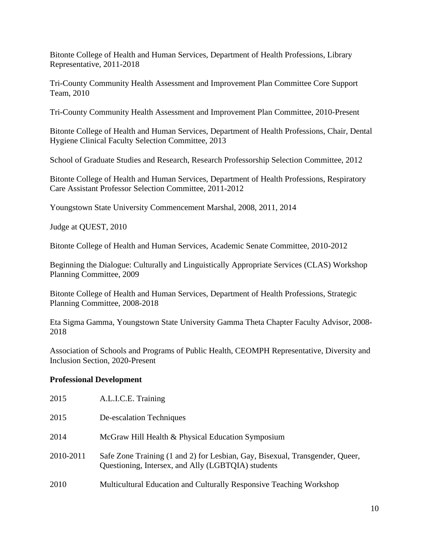Bitonte College of Health and Human Services, Department of Health Professions, Library Representative, 2011-2018

Tri-County Community Health Assessment and Improvement Plan Committee Core Support Team, 2010

Tri-County Community Health Assessment and Improvement Plan Committee, 2010-Present

Bitonte College of Health and Human Services, Department of Health Professions, Chair, Dental Hygiene Clinical Faculty Selection Committee, 2013

School of Graduate Studies and Research, Research Professorship Selection Committee, 2012

Bitonte College of Health and Human Services, Department of Health Professions, Respiratory Care Assistant Professor Selection Committee, 2011-2012

Youngstown State University Commencement Marshal, 2008, 2011, 2014

Judge at QUEST, 2010

Bitonte College of Health and Human Services, Academic Senate Committee, 2010-2012

Beginning the Dialogue: Culturally and Linguistically Appropriate Services (CLAS) Workshop Planning Committee, 2009

Bitonte College of Health and Human Services, Department of Health Professions, Strategic Planning Committee, 2008-2018

Eta Sigma Gamma, Youngstown State University Gamma Theta Chapter Faculty Advisor, 2008- 2018

Association of Schools and Programs of Public Health, CEOMPH Representative, Diversity and Inclusion Section, 2020-Present

### **Professional Development**

| 2015      | A.L.I.C.E. Training                                                                                                                |
|-----------|------------------------------------------------------------------------------------------------------------------------------------|
| 2015      | De-escalation Techniques                                                                                                           |
| 2014      | McGraw Hill Health & Physical Education Symposium                                                                                  |
| 2010-2011 | Safe Zone Training (1 and 2) for Lesbian, Gay, Bisexual, Transgender, Queer,<br>Questioning, Intersex, and Ally (LGBTQIA) students |
| 2010      | Multicultural Education and Culturally Responsive Teaching Workshop                                                                |